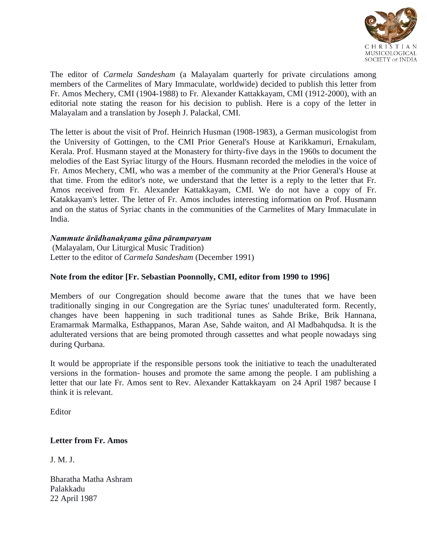

The editor of *Carmela Sandesham* (a Malayalam quarterly for private circulations among members of the Carmelites of Mary Immaculate, worldwide) decided to publish this letter from Fr. Amos Mechery, CMI (1904-1988) to Fr. Alexander Kattakkayam, CMI (1912-2000), with an editorial note stating the reason for his decision to publish. Here is a copy of the letter in Malayalam and a translation by Joseph J. Palackal, CMI.

The letter is about the visit of Prof. Heinrich Husman (1908-1983), a German musicologist from the University of Gottingen, to the CMI Prior General's House at Karikkamuri, Ernakulam, Kerala. Prof. Husmann stayed at the Monastery for thirty-five days in the 1960s to document the melodies of the East Syriac liturgy of the Hours. Husmann recorded the melodies in the voice of Fr. Amos Mechery, CMI, who was a member of the community at the Prior General's House at that time. From the editor's note, we understand that the letter is a reply to the letter that Fr. Amos received from Fr. Alexander Kattakkayam, CMI. We do not have a copy of Fr. Katakkayam's letter. The letter of Fr. Amos includes interesting information on Prof. Husmann and on the status of Syriac chants in the communities of the Carmelites of Mary Immaculate in India.

## *Nammute ārādhanakṛama gāna pāramparyam*

(Malayalam, Our Liturgical Music Tradition) Letter to the editor of *Carmela Sandesham* (December 1991)

## **Note from the editor [Fr. Sebastian Poonnolly, CMI, editor from 1990 to 1996]**

Members of our Congregation should become aware that the tunes that we have been traditionally singing in our Congregation are the Syriac tunes' unadulterated form. Recently, changes have been happening in such traditional tunes as Sahde Brike, Brik Hannana, Eramarmak Marmalka, Esthappanos, Maran Ase, Sahde waiton, and Al Madbahqudsa. It is the adulterated versions that are being promoted through cassettes and what people nowadays sing during Qurbana.

It would be appropriate if the responsible persons took the initiative to teach the unadulterated versions in the formation- houses and promote the same among the people. I am publishing a letter that our late Fr. Amos sent to Rev. Alexander Kattakkayam on 24 April 1987 because I think it is relevant.

Editor

## **Letter from Fr. Amos**

J. M. J.

Bharatha Matha Ashram Palakkadu 22 April 1987